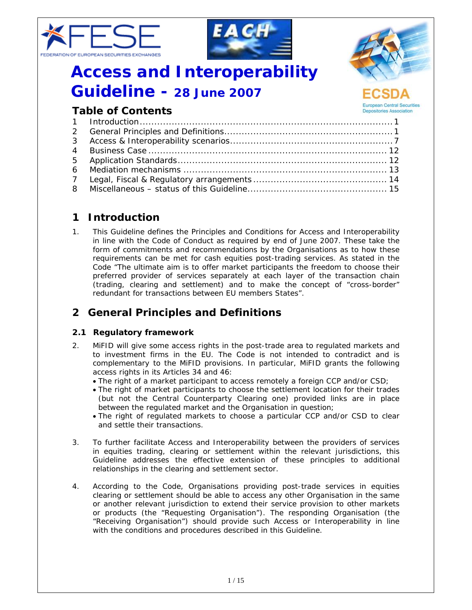





# **Access and Interoperability Guideline - 28 June 2007**



## **Table of Contents**

# **1 Introduction**

1. This Guideline defines the Principles and Conditions for Access and Interoperability in line with the Code of Conduct as required by end of June 2007. These take the form of commitments and recommendations by the Organisations as to how these requirements can be met for cash equities post-trading services. As stated in the Code "The ultimate aim is to offer market participants the freedom to choose their preferred provider of services separately at each layer of the transaction chain (trading, clearing and settlement) and to make the concept of "cross-border" redundant for transactions between EU members States".

# **2 General Principles and Definitions**

### **2.1 Regulatory framework**

- 2. MiFID will give some access rights in the post-trade area to regulated markets and to investment firms in the EU. The Code is not intended to contradict and is complementary to the MiFID provisions. In particular, MiFID grants the following access rights in its Articles 34 and 46:
	- The right of a market participant to access remotely a foreign CCP and/or CSD;
	- The right of market participants to choose the settlement location for their trades (but not the Central Counterparty Clearing one) provided links are in place between the regulated market and the Organisation in question;
	- The right of regulated markets to choose a particular CCP and/or CSD to clear and settle their transactions.
- 3. To further facilitate Access and Interoperability between the providers of services in equities trading, clearing or settlement within the relevant jurisdictions, this Guideline addresses the effective extension of these principles to additional relationships in the clearing and settlement sector.
- 4. According to the Code, Organisations providing post-trade services in equities clearing or settlement should be able to access any other Organisation in the same or another relevant jurisdiction to extend their service provision to other markets or products (the "Requesting Organisation"). The responding Organisation (the "Receiving Organisation") should provide such Access or Interoperability in line with the conditions and procedures described in this Guideline.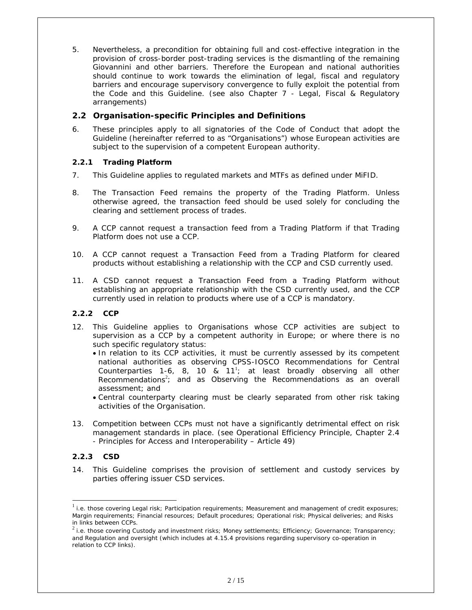5. Nevertheless, a precondition for obtaining full and cost-effective integration in the provision of cross-border post-trading services is the dismantling of the remaining Giovannini and other barriers. Therefore the European and national authorities should continue to work towards the elimination of legal, fiscal and regulatory barriers and encourage supervisory convergence to fully exploit the potential from the Code and this Guideline. (see also Chapter 7 - *Legal, Fiscal & Regulatory arrangements*)

#### **2.2 Organisation-specific Principles and Definitions**

6. These principles apply to all signatories of the Code of Conduct that adopt the Guideline (hereinafter referred to as "Organisations") whose European activities are subject to the supervision of a competent European authority.

#### **2.2.1 Trading Platform**

- 7. This Guideline applies to regulated markets and MTFs as defined under MiFID.
- 8. The Transaction Feed remains the property of the Trading Platform. Unless otherwise agreed, the transaction feed should be used solely for concluding the clearing and settlement process of trades.
- 9. A CCP cannot request a transaction feed from a Trading Platform if that Trading Platform does not use a CCP.
- 10. A CCP cannot request a Transaction Feed from a Trading Platform for cleared products without establishing a relationship with the CCP and CSD currently used.
- 11. A CSD cannot request a Transaction Feed from a Trading Platform without establishing an appropriate relationship with the CSD currently used, and the CCP currently used in relation to products where use of a CCP is mandatory.

#### **2.2.2 CCP**

- 12. This Guideline applies to Organisations whose CCP activities are subject to supervision as a CCP by a competent authority in Europe; or where there is no such specific regulatory status:
	- In relation to its CCP activities, it must be currently assessed by its competent national authorities as observing CPSS-IOSCO Recommendations for Central Counterparties 1-6, 8, 10 & 11<sup>1</sup>; at least broadly observing all other Recommendations<sup>2</sup>; and as Observing the Recommendations as an overall assessment; and
	- Central counterparty clearing must be clearly separated from other risk taking activities of the Organisation.
- 13. Competition between CCPs must not have a significantly detrimental effect on risk management standards in place. (see Operational Efficiency Principle, Chapter 2.4 - *Principles for Access and Interoperability* – Article 49)

#### **2.2.3 CSD**

-

14. This Guideline comprises the provision of settlement and custody services by parties offering issuer CSD services.

 $<sup>1</sup>$  i.e. those covering Legal risk; Participation requirements; Measurement and management of credit exposures;</sup> Margin requirements; Financial resources; Default procedures; Operational risk; Physical deliveries; and Risks in links between CCPs.

 $2$  i.e. those covering Custody and investment risks; Money settlements; Efficiency; Governance; Transparency; and Regulation and oversight (which includes at 4.15.4 provisions regarding supervisory co-operation in relation to CCP links).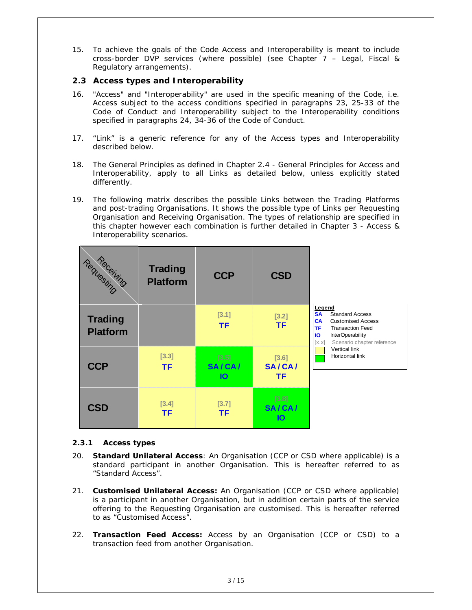15. To achieve the goals of the Code Access and Interoperability is meant to include cross-border DVP services (where possible) (see Chapter 7 – *Legal, Fiscal & Regulatory arrangements*).

#### **2.3 Access types and Interoperability**

- 16. "Access" and "Interoperability" are used in the specific meaning of the Code, i.e. Access subject to the access conditions specified in paragraphs 23, 25-33 of the Code of Conduct and Interoperability subject to the Interoperability conditions specified in paragraphs 24, 34-36 of the Code of Conduct.
- 17. "Link" is a generic reference for any of the Access types and Interoperability described below.
- 18. The General Principles as defined in Chapter 2.4 *General Principles for Access and Interoperability*, apply to all Links as detailed below, unless explicitly stated differently.
- 19. The following matrix describes the possible Links between the Trading Platforms and post-trading Organisations. It shows the possible type of Links per Requesting Organisation and Receiving Organisation. The types of relationship are specified in this chapter however each combination is further detailed in Chapter 3 - *Access & Interoperability scenarios*.

| Requesting                        | <b>Trading</b><br><b>Platform</b> | <b>CCP</b>                     | <b>CSD</b>                     |                                                                                                                                                                                                                                                       |
|-----------------------------------|-----------------------------------|--------------------------------|--------------------------------|-------------------------------------------------------------------------------------------------------------------------------------------------------------------------------------------------------------------------------------------------------|
| <b>Trading</b><br><b>Platform</b> |                                   | [3.1]<br><b>TF</b>             | $[3.2]$<br><b>TF</b>           | Legend<br><b>Standard Access</b><br><b>SA</b><br><b>Customised Access</b><br>CA<br><b>Transaction Feed</b><br><b>TF</b><br><b>InterOperability</b><br>IО<br>Scenario chapter reference<br>[ <i>x</i> . <i>x</i> ]<br>Vertical link<br>Horizontal link |
| <b>CCP</b>                        | $[3.3]$<br><b>TF</b>              | $[3.5]$<br>SA/CA/<br><b>IO</b> | $[3.6]$<br><b>SA/CA/</b><br>TF |                                                                                                                                                                                                                                                       |
| <b>CSD</b>                        | $[3.4]$<br>ΤF                     | $[3.7]$<br><b>TF</b>           | [3.8]<br>SA/CA/<br><b>IO</b>   |                                                                                                                                                                                                                                                       |

#### **2.3.1 Access types**

- 20. **Standard Unilateral Access**: An Organisation (CCP or CSD where applicable) is a standard participant in another Organisation. This is hereafter referred to as "Standard Access".
- 21. **Customised Unilateral Access:** An Organisation (CCP or CSD where applicable) is a participant in another Organisation, but in addition certain parts of the service offering to the Requesting Organisation are customised. This is hereafter referred to as "Customised Access".
- 22. **Transaction Feed Access:** Access by an Organisation (CCP or CSD) to a transaction feed from another Organisation.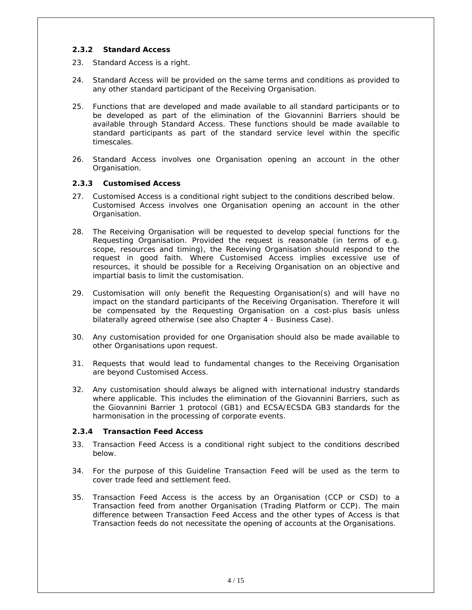#### **2.3.2 Standard Access**

- 23. Standard Access is a right.
- 24. Standard Access will be provided on the same terms and conditions as provided to any other standard participant of the Receiving Organisation.
- 25. Functions that are developed and made available to all standard participants or to be developed as part of the elimination of the Giovannini Barriers should be available through Standard Access. These functions should be made available to standard participants as part of the standard service level within the specific timescales.
- 26. Standard Access involves one Organisation opening an account in the other Organisation.

#### **2.3.3 Customised Access**

- 27. Customised Access is a conditional right subject to the conditions described below. Customised Access involves one Organisation opening an account in the other Organisation.
- 28. The Receiving Organisation will be requested to develop special functions for the Requesting Organisation. Provided the request is reasonable (in terms of e.g. scope, resources and timing), the Receiving Organisation should respond to the request in good faith. Where Customised Access implies excessive use of resources, it should be possible for a Receiving Organisation on an objective and impartial basis to limit the customisation.
- 29. Customisation will only benefit the Requesting Organisation(s) and will have no impact on the standard participants of the Receiving Organisation. Therefore it will be compensated by the Requesting Organisation on a cost-plus basis unless bilaterally agreed otherwise (see also Chapter 4 - *Business Case*).
- 30. Any customisation provided for one Organisation should also be made available to other Organisations upon request.
- 31. Requests that would lead to fundamental changes to the Receiving Organisation are beyond Customised Access.
- 32. Any customisation should always be aligned with international industry standards where applicable. This includes the elimination of the Giovannini Barriers, such as the Giovannini Barrier 1 protocol (GB1) and ECSA/ECSDA GB3 standards for the harmonisation in the processing of corporate events.

#### **2.3.4 Transaction Feed Access**

- 33. Transaction Feed Access is a conditional right subject to the conditions described below.
- 34. For the purpose of this Guideline Transaction Feed will be used as the term to cover trade feed and settlement feed.
- 35. Transaction Feed Access is the access by an Organisation (CCP or CSD) to a Transaction feed from another Organisation (Trading Platform or CCP). The main difference between Transaction Feed Access and the other types of Access is that Transaction feeds do not necessitate the opening of accounts at the Organisations.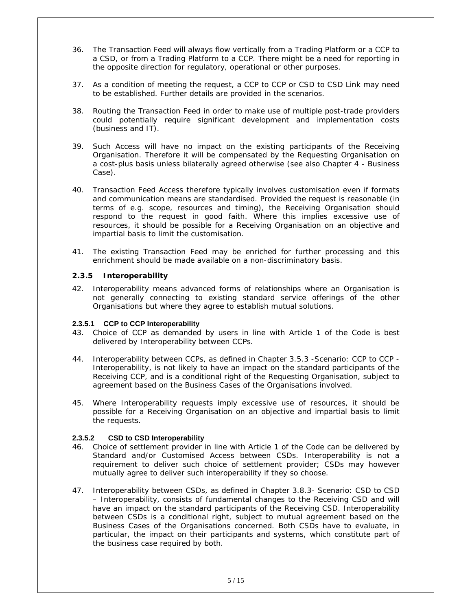- 36. The Transaction Feed will always flow vertically from a Trading Platform or a CCP to a CSD, or from a Trading Platform to a CCP. There might be a need for reporting in the opposite direction for regulatory, operational or other purposes.
- 37. As a condition of meeting the request, a CCP to CCP or CSD to CSD Link may need to be established. Further details are provided in the scenarios.
- 38. Routing the Transaction Feed in order to make use of multiple post-trade providers could potentially require significant development and implementation costs (business and IT).
- 39. Such Access will have no impact on the existing participants of the Receiving Organisation. Therefore it will be compensated by the Requesting Organisation on a cost-plus basis unless bilaterally agreed otherwise (see also Chapter 4 - *Business Case*).
- 40. Transaction Feed Access therefore typically involves customisation even if formats and communication means are standardised. Provided the request is reasonable (in terms of e.g. scope, resources and timing), the Receiving Organisation should respond to the request in good faith. Where this implies excessive use of resources, it should be possible for a Receiving Organisation on an objective and impartial basis to limit the customisation.
- 41. The existing Transaction Feed may be enriched for further processing and this enrichment should be made available on a non-discriminatory basis.

#### **2.3.5 Interoperability**

42. Interoperability means advanced forms of relationships where an Organisation is not generally connecting to existing standard service offerings of the other Organisations but where they agree to establish mutual solutions.

#### **2.3.5.1 CCP to CCP Interoperability**

- 43. Choice of CCP as demanded by users in line with Article 1 of the Code is best delivered by Interoperability between CCPs.
- 44. Interoperability between CCPs, as defined in Chapter 3.5.3 -*Scenario: CCP to CCP Interoperability*, is not likely to have an impact on the standard participants of the Receiving CCP, and is a conditional right of the Requesting Organisation, subject to agreement based on the Business Cases of the Organisations involved.
- 45. Where Interoperability requests imply excessive use of resources, it should be possible for a Receiving Organisation on an objective and impartial basis to limit the requests.

#### **2.3.5.2 CSD to CSD Interoperability**

- 46. Choice of settlement provider in line with Article 1 of the Code can be delivered by Standard and/or Customised Access between CSDs. Interoperability is not a requirement to deliver such choice of settlement provider; CSDs may however mutually agree to deliver such interoperability if they so choose.
- 47. Interoperability between CSDs, as defined in Chapter 3.8.3- *Scenario: CSD to CSD – Interoperability*, consists of fundamental changes to the Receiving CSD and will have an impact on the standard participants of the Receiving CSD. Interoperability between CSDs is a conditional right, subject to mutual agreement based on the Business Cases of the Organisations concerned. Both CSDs have to evaluate, in particular, the impact on their participants and systems, which constitute part of the business case required by both.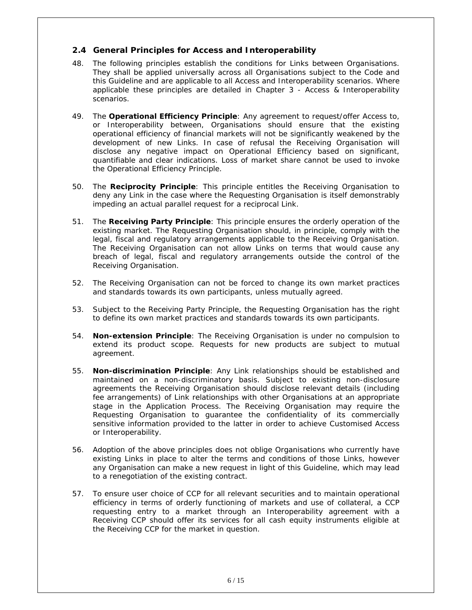#### **2.4 General Principles for Access and Interoperability**

- 48. The following principles establish the conditions for Links between Organisations. They shall be applied universally across all Organisations subject to the Code and this Guideline and are applicable to all Access and Interoperability scenarios. Where applicable these principles are detailed in Chapter 3 - *Access & Interoperability scenarios*.
- 49. The **Operational Efficiency Principle**: Any agreement to request/offer Access to, or Interoperability between, Organisations should ensure that the existing operational efficiency of financial markets will not be significantly weakened by the development of new Links. In case of refusal the Receiving Organisation will disclose any negative impact on Operational Efficiency based on significant, quantifiable and clear indications. Loss of market share cannot be used to invoke the Operational Efficiency Principle.
- 50. The **Reciprocity Principle**: This principle entitles the Receiving Organisation to deny any Link in the case where the Requesting Organisation is itself demonstrably impeding an actual parallel request for a reciprocal Link.
- 51. The **Receiving Party Principle**: This principle ensures the orderly operation of the existing market. The Requesting Organisation should, in principle, comply with the legal, fiscal and regulatory arrangements applicable to the Receiving Organisation. The Receiving Organisation can not allow Links on terms that would cause any breach of legal, fiscal and regulatory arrangements outside the control of the Receiving Organisation.
- 52. The Receiving Organisation can not be forced to change its own market practices and standards towards its own participants, unless mutually agreed.
- 53. Subject to the Receiving Party Principle, the Requesting Organisation has the right to define its own market practices and standards towards its own participants.
- 54. **Non-extension Principle**: The Receiving Organisation is under no compulsion to extend its product scope. Requests for new products are subject to mutual agreement.
- 55. **Non-discrimination Principle**: Any Link relationships should be established and maintained on a non-discriminatory basis. Subject to existing non-disclosure agreements the Receiving Organisation should disclose relevant details (including fee arrangements) of Link relationships with other Organisations at an appropriate stage in the Application Process. The Receiving Organisation may require the Requesting Organisation to guarantee the confidentiality of its commercially sensitive information provided to the latter in order to achieve Customised Access or Interoperability.
- 56. Adoption of the above principles does not oblige Organisations who currently have existing Links in place to alter the terms and conditions of those Links, however any Organisation can make a new request in light of this Guideline, which may lead to a renegotiation of the existing contract.
- 57. To ensure user choice of CCP for all relevant securities and to maintain operational efficiency in terms of orderly functioning of markets and use of collateral, a CCP requesting entry to a market through an Interoperability agreement with a Receiving CCP should offer its services for all cash equity instruments eligible at the Receiving CCP for the market in question.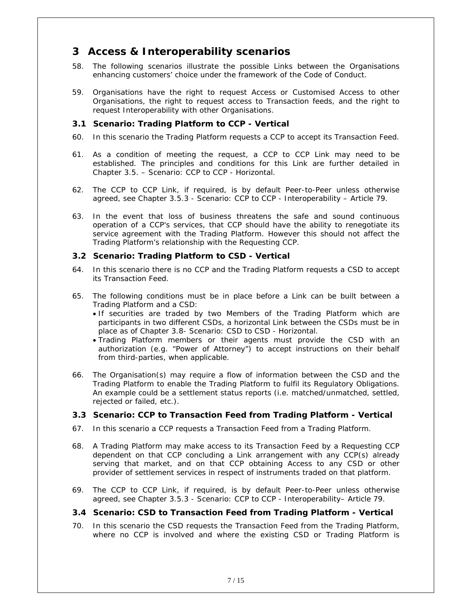### **3 Access & Interoperability scenarios**

- 58. The following scenarios illustrate the possible Links between the Organisations enhancing customers' choice under the framework of the Code of Conduct.
- 59. Organisations have the right to request Access or Customised Access to other Organisations, the right to request access to Transaction feeds, and the right to request Interoperability with other Organisations.

#### **3.1 Scenario: Trading Platform to CCP - Vertical**

- 60. In this scenario the Trading Platform requests a CCP to accept its Transaction Feed.
- 61. As a condition of meeting the request, a CCP to CCP Link may need to be established. The principles and conditions for this Link are further detailed in Chapter 3.5. – *Scenario: CCP to CCP - Horizontal*.
- 62. The CCP to CCP Link, if required, is by default Peer-to-Peer unless otherwise agreed, see Chapter 3.5.3 - *Scenario: CCP to CCP - Interoperability* – Article 79.
- 63. In the event that loss of business threatens the safe and sound continuous operation of a CCP's services, that CCP should have the ability to renegotiate its service agreement with the Trading Platform. However this should not affect the Trading Platform's relationship with the Requesting CCP.

#### **3.2 Scenario: Trading Platform to CSD - Vertical**

- 64. In this scenario there is no CCP and the Trading Platform requests a CSD to accept its Transaction Feed.
- 65. The following conditions must be in place before a Link can be built between a Trading Platform and a CSD:
	- If securities are traded by two Members of the Trading Platform which are participants in two different CSDs, a horizontal Link between the CSDs must be in place as of Chapter 3.8- *Scenario: CSD to CSD - Horizontal*.
	- Trading Platform members or their agents must provide the CSD with an authorization (e.g. "Power of Attorney") to accept instructions on their behalf from third-parties, when applicable.
- 66. The Organisation(s) may require a flow of information between the CSD and the Trading Platform to enable the Trading Platform to fulfil its Regulatory Obligations. An example could be a settlement status reports (i.e. matched/unmatched, settled, rejected or failed, etc.).

#### **3.3 Scenario: CCP to Transaction Feed from Trading Platform - Vertical**

- 67. In this scenario a CCP requests a Transaction Feed from a Trading Platform.
- 68. A Trading Platform may make access to its Transaction Feed by a Requesting CCP dependent on that CCP concluding a Link arrangement with any CCP(s) already serving that market, and on that CCP obtaining Access to any CSD or other provider of settlement services in respect of instruments traded on that platform.
- 69. The CCP to CCP Link, if required, is by default Peer-to-Peer unless otherwise agreed, see Chapter 3.5.3 - *Scenario: CCP to CCP - Interoperability*– Article 79.

#### **3.4 Scenario: CSD to Transaction Feed from Trading Platform - Vertical**

70. In this scenario the CSD requests the Transaction Feed from the Trading Platform, where no CCP is involved and where the existing CSD or Trading Platform is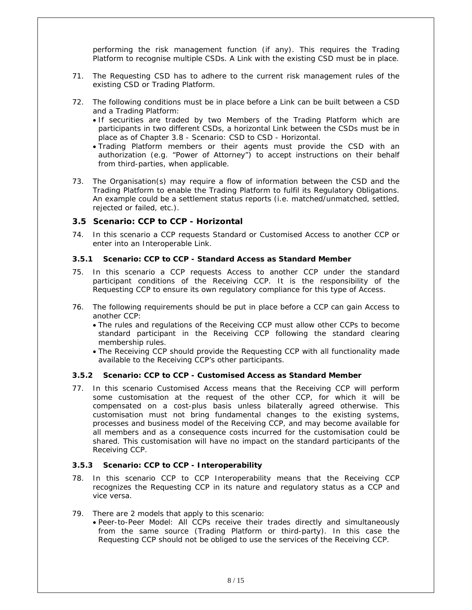performing the risk management function (if any). This requires the Trading Platform to recognise multiple CSDs. A Link with the existing CSD must be in place.

- 71. The Requesting CSD has to adhere to the current risk management rules of the existing CSD or Trading Platform.
- 72. The following conditions must be in place before a Link can be built between a CSD and a Trading Platform:
	- If securities are traded by two Members of the Trading Platform which are participants in two different CSDs, a horizontal Link between the CSDs must be in place as of Chapter 3.8 - *Scenario: CSD to CSD - Horizontal*.
	- Trading Platform members or their agents must provide the CSD with an authorization (e.g. "Power of Attorney") to accept instructions on their behalf from third-parties, when applicable.
- 73. The Organisation(s) may require a flow of information between the CSD and the Trading Platform to enable the Trading Platform to fulfil its Regulatory Obligations. An example could be a settlement status reports (i.e. matched/unmatched, settled, rejected or failed, etc.).

#### **3.5 Scenario: CCP to CCP - Horizontal**

74. In this scenario a CCP requests Standard or Customised Access to another CCP or enter into an Interoperable Link.

#### **3.5.1 Scenario: CCP to CCP - Standard Access as Standard Member**

- 75. In this scenario a CCP requests Access to another CCP under the standard participant conditions of the Receiving CCP. It is the responsibility of the Requesting CCP to ensure its own regulatory compliance for this type of Access.
- 76. The following requirements should be put in place before a CCP can gain Access to another CCP:
	- The rules and regulations of the Receiving CCP must allow other CCPs to become standard participant in the Receiving CCP following the standard clearing membership rules.
	- The Receiving CCP should provide the Requesting CCP with all functionality made available to the Receiving CCP's other participants.

#### **3.5.2 Scenario: CCP to CCP - Customised Access as Standard Member**

77. In this scenario Customised Access means that the Receiving CCP will perform some customisation at the request of the other CCP, for which it will be compensated on a cost-plus basis unless bilaterally agreed otherwise. This customisation must not bring fundamental changes to the existing systems, processes and business model of the Receiving CCP, and may become available for all members and as a consequence costs incurred for the customisation could be shared. This customisation will have no impact on the standard participants of the Receiving CCP.

#### **3.5.3 Scenario: CCP to CCP - Interoperability**

- 78. In this scenario CCP to CCP Interoperability means that the Receiving CCP recognizes the Requesting CCP in its nature and regulatory status as a CCP and vice versa.
- 79. There are 2 models that apply to this scenario:
	- Peer-to-Peer Model: All CCPs receive their trades directly and simultaneously from the same source (Trading Platform or third-party). In this case the Requesting CCP should not be obliged to use the services of the Receiving CCP.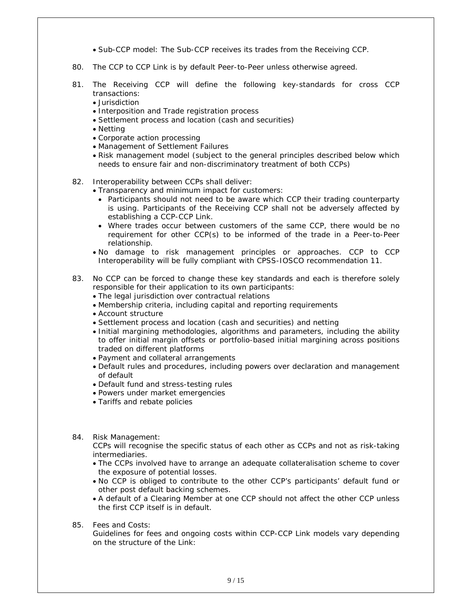- Sub-CCP model: The Sub-CCP receives its trades from the Receiving CCP.
- 80. The CCP to CCP Link is by default Peer-to-Peer unless otherwise agreed.
- 81. The Receiving CCP will define the following key-standards for cross CCP transactions:
	- Jurisdiction
	- Interposition and Trade registration process
	- Settlement process and location (cash and securities)
	- Netting
	- Corporate action processing
	- Management of Settlement Failures
	- Risk management model (subject to the general principles described below which needs to ensure fair and non-discriminatory treatment of both CCPs)
- 82. Interoperability between CCPs shall deliver:
	- Transparency and minimum impact for customers:
		- Participants should not need to be aware which CCP their trading counterparty is using. Participants of the Receiving CCP shall not be adversely affected by establishing a CCP-CCP Link.
		- Where trades occur between customers of the same CCP, there would be no requirement for other CCP(s) to be informed of the trade in a Peer-to-Peer relationship.
	- No damage to risk management principles or approaches. CCP to CCP Interoperability will be fully compliant with CPSS-IOSCO recommendation 11.
- 83. No CCP can be forced to change these key standards and each is therefore solely responsible for their application to its own participants:
	- The legal jurisdiction over contractual relations
	- Membership criteria, including capital and reporting requirements
	- Account structure
	- Settlement process and location (cash and securities) and netting
	- Initial margining methodologies, algorithms and parameters, including the ability to offer initial margin offsets or portfolio-based initial margining across positions traded on different platforms
	- Payment and collateral arrangements
	- Default rules and procedures, including powers over declaration and management of default
	- Default fund and stress-testing rules
	- Powers under market emergencies
	- Tariffs and rebate policies
- 84. Risk Management:

CCPs will recognise the specific status of each other as CCPs and not as risk-taking intermediaries.

- The CCPs involved have to arrange an adequate collateralisation scheme to cover the exposure of potential losses.
- No CCP is obliged to contribute to the other CCP's participants' default fund or other post default backing schemes.
- A default of a Clearing Member at one CCP should not affect the other CCP unless the first CCP itself is in default.
- 85. Fees and Costs:

Guidelines for fees and ongoing costs within CCP-CCP Link models vary depending on the structure of the Link: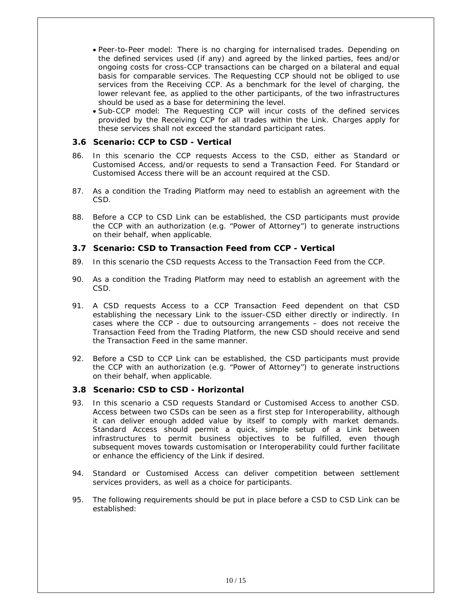- Peer-to-Peer model: There is no charging for internalised trades. Depending on the defined services used (if any) and agreed by the linked parties, fees and/or ongoing costs for cross-CCP transactions can be charged on a bilateral and equal basis for comparable services. The Requesting CCP should not be obliged to use services from the Receiving CCP. As a benchmark for the level of charging, the lower relevant fee, as applied to the other participants, of the two infrastructures should be used as a base for determining the level.
- Sub-CCP model: The Requesting CCP will incur costs of the defined services provided by the Receiving CCP for all trades within the Link. Charges apply for these services shall not exceed the standard participant rates.

#### **3.6 Scenario: CCP to CSD - Vertical**

- 86. In this scenario the CCP requests Access to the CSD, either as Standard or Customised Access, and/or requests to send a Transaction Feed. For Standard or Customised Access there will be an account required at the CSD.
- 87. As a condition the Trading Platform may need to establish an agreement with the CSD.
- 88. Before a CCP to CSD Link can be established, the CSD participants must provide the CCP with an authorization (e.g. "Power of Attorney") to generate instructions on their behalf, when applicable.

#### **3.7 Scenario: CSD to Transaction Feed from CCP - Vertical**

- 89. In this scenario the CSD requests Access to the Transaction Feed from the CCP.
- 90. As a condition the Trading Platform may need to establish an agreement with the CSD.
- 91. A CSD requests Access to a CCP Transaction Feed dependent on that CSD establishing the necessary Link to the issuer-CSD either directly or indirectly. In cases where the CCP - due to outsourcing arrangements – does not receive the Transaction Feed from the Trading Platform, the new CSD should receive and send the Transaction Feed in the same manner.
- 92. Before a CSD to CCP Link can be established, the CSD participants must provide the CCP with an authorization (e.g. "Power of Attorney") to generate instructions on their behalf, when applicable.

#### **3.8 Scenario: CSD to CSD - Horizontal**

- 93. In this scenario a CSD requests Standard or Customised Access to another CSD. Access between two CSDs can be seen as a first step for Interoperability, although it can deliver enough added value by itself to comply with market demands. Standard Access should permit a quick, simple setup of a Link between infrastructures to permit business objectives to be fulfilled, even though subsequent moves towards customisation or Interoperability could further facilitate or enhance the efficiency of the Link if desired.
- 94. Standard or Customised Access can deliver competition between settlement services providers, as well as a choice for participants.
- 95. The following requirements should be put in place before a CSD to CSD Link can be established: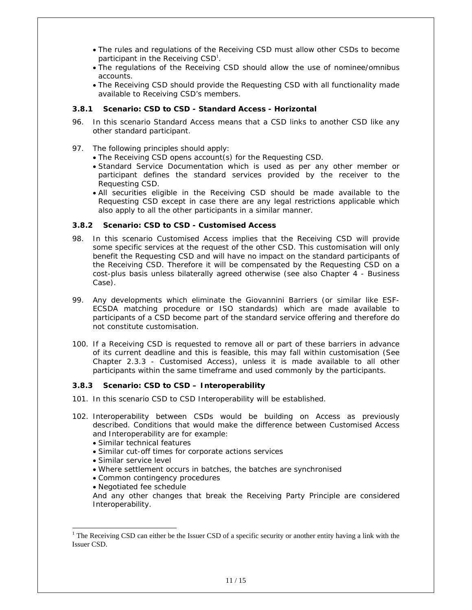- The rules and regulations of the Receiving CSD must allow other CSDs to become participant in the Receiving  $CSD<sup>1</sup>$ .
- The regulations of the Receiving CSD should allow the use of nominee/omnibus accounts.
- The Receiving CSD should provide the Requesting CSD with all functionality made available to Receiving CSD's members.

#### **3.8.1 Scenario: CSD to CSD - Standard Access - Horizontal**

- 96. In this scenario Standard Access means that a CSD links to another CSD like any other standard participant.
- 97. The following principles should apply:
	- The Receiving CSD opens account(s) for the Requesting CSD.
	- Standard Service Documentation which is used as per any other member or participant defines the standard services provided by the receiver to the Requesting CSD.
	- All securities eligible in the Receiving CSD should be made available to the Requesting CSD except in case there are any legal restrictions applicable which also apply to all the other participants in a similar manner.

#### **3.8.2 Scenario: CSD to CSD - Customised Access**

- 98. In this scenario Customised Access implies that the Receiving CSD will provide some specific services at the request of the other CSD. This customisation will only benefit the Requesting CSD and will have no impact on the standard participants of the Receiving CSD. Therefore it will be compensated by the Requesting CSD on a cost-plus basis unless bilaterally agreed otherwise (see also Chapter 4 - *Business Case*).
- 99. Any developments which eliminate the Giovannini Barriers (or similar like ESF-ECSDA matching procedure or ISO standards) which are made available to participants of a CSD become part of the standard service offering and therefore do not constitute customisation.
- 100. If a Receiving CSD is requested to remove all or part of these barriers in advance of its current deadline and this is feasible, this may fall within customisation (See Chapter 2.3.3 - *Customised Access*), unless it is made available to all other participants within the same timeframe and used commonly by the participants.

#### **3.8.3 Scenario: CSD to CSD – Interoperability**

- 101. In this scenario CSD to CSD Interoperability will be established.
- 102. Interoperability between CSDs would be building on Access as previously described. Conditions that would make the difference between Customised Access and Interoperability are for example:
	- Similar technical features
	- Similar cut-off times for corporate actions services
	- Similar service level

-

- Where settlement occurs in batches, the batches are synchronised
- Common contingency procedures
- Negotiated fee schedule

And any other changes that break the Receiving Party Principle are considered Interoperability.

<sup>&</sup>lt;sup>1</sup> The Receiving CSD can either be the Issuer CSD of a specific security or another entity having a link with the Issuer CSD.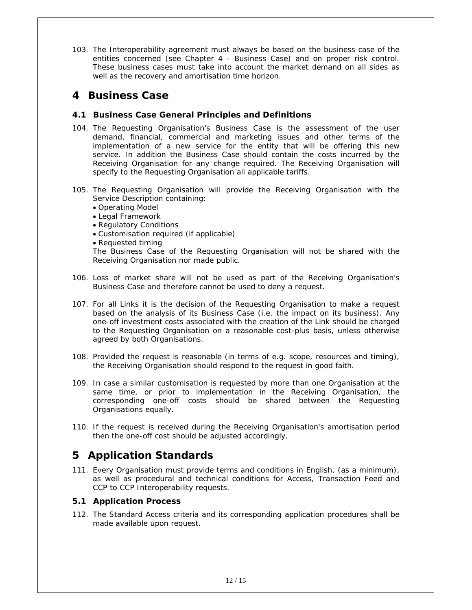103. The Interoperability agreement must always be based on the business case of the entities concerned (see Chapter 4 - *Business Case*) and on proper risk control. These business cases must take into account the market demand on all sides as well as the recovery and amortisation time horizon.

### **4 Business Case**

#### **4.1 Business Case General Principles and Definitions**

- 104. The Requesting Organisation's Business Case is the assessment of the user demand, financial, commercial and marketing issues and other terms of the implementation of a new service for the entity that will be offering this new service. In addition the Business Case should contain the costs incurred by the Receiving Organisation for any change required. The Receiving Organisation will specify to the Requesting Organisation all applicable tariffs.
- 105. The Requesting Organisation will provide the Receiving Organisation with the Service Description containing:
	- Operating Model
	- Legal Framework
	- Regulatory Conditions
	- Customisation required (if applicable)
	- Requested timing

The Business Case of the Requesting Organisation will not be shared with the Receiving Organisation nor made public.

- 106. Loss of market share will not be used as part of the Receiving Organisation's Business Case and therefore cannot be used to deny a request.
- 107. For all Links it is the decision of the Requesting Organisation to make a request based on the analysis of its Business Case (i.e. the impact on its business). Any one-off investment costs associated with the creation of the Link should be charged to the Requesting Organisation on a reasonable cost-plus basis, unless otherwise agreed by both Organisations.
- 108. Provided the request is reasonable (in terms of e.g. scope, resources and timing), the Receiving Organisation should respond to the request in good faith.
- 109. In case a similar customisation is requested by more than one Organisation at the same time, or prior to implementation in the Receiving Organisation, the corresponding one-off costs should be shared between the Requesting Organisations equally.
- 110. If the request is received during the Receiving Organisation's amortisation period then the one-off cost should be adjusted accordingly.

# **5 Application Standards**

111. Every Organisation must provide terms and conditions in English, (as a minimum), as well as procedural and technical conditions for Access, Transaction Feed and CCP to CCP Interoperability requests.

#### **5.1 Application Process**

112. The Standard Access criteria and its corresponding application procedures shall be made available upon request.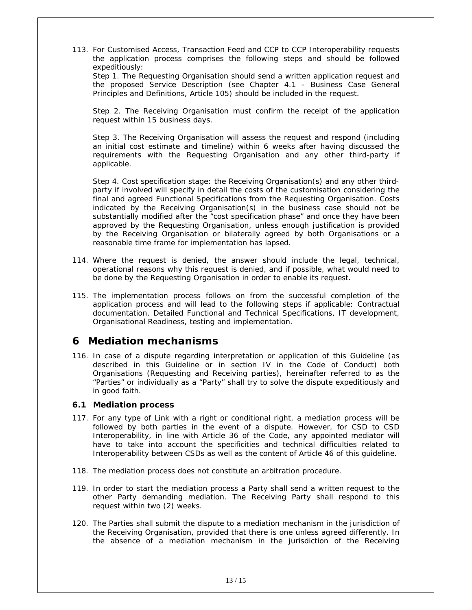113. For Customised Access, Transaction Feed and CCP to CCP Interoperability requests the application process comprises the following steps and should be followed expeditiously:

Step 1. The Requesting Organisation should send a written application request and the proposed Service Description (see Chapter 4.1 - *Business Case General Principles and Definitions*, Article 105) should be included in the request.

Step 2. The Receiving Organisation must confirm the receipt of the application request within 15 business days.

Step 3. The Receiving Organisation will assess the request and respond (including an initial cost estimate and timeline) within 6 weeks after having discussed the requirements with the Requesting Organisation and any other third-party if applicable.

Step 4. Cost specification stage: the Receiving Organisation(s) and any other thirdparty if involved will specify in detail the costs of the customisation considering the final and agreed Functional Specifications from the Requesting Organisation. Costs indicated by the Receiving Organisation(s) in the business case should not be substantially modified after the "cost specification phase" and once they have been approved by the Requesting Organisation, unless enough justification is provided by the Receiving Organisation or bilaterally agreed by both Organisations or a reasonable time frame for implementation has lapsed.

- 114. Where the request is denied, the answer should include the legal, technical, operational reasons why this request is denied, and if possible, what would need to be done by the Requesting Organisation in order to enable its request.
- 115. The implementation process follows on from the successful completion of the application process and will lead to the following steps if applicable: Contractual documentation, Detailed Functional and Technical Specifications, IT development, Organisational Readiness, testing and implementation.

### **6 Mediation mechanisms**

116. In case of a dispute regarding interpretation or application of this Guideline (as described in this Guideline or in section IV in the Code of Conduct) both Organisations (Requesting and Receiving parties), hereinafter referred to as the "Parties" or individually as a "Party" shall try to solve the dispute expeditiously and in good faith.

#### **6.1 Mediation process**

- 117. For any type of Link with a right or conditional right, a mediation process will be followed by both parties in the event of a dispute. However, for CSD to CSD Interoperability, in line with Article 36 of the Code, any appointed mediator will have to take into account the specificities and technical difficulties related to Interoperability between CSDs as well as the content of Article 46 of this guideline.
- 118. The mediation process does not constitute an arbitration procedure.
- 119. In order to start the mediation process a Party shall send a written request to the other Party demanding mediation. The Receiving Party shall respond to this request within two (2) weeks.
- 120. The Parties shall submit the dispute to a mediation mechanism in the jurisdiction of the Receiving Organisation, provided that there is one unless agreed differently. In the absence of a mediation mechanism in the jurisdiction of the Receiving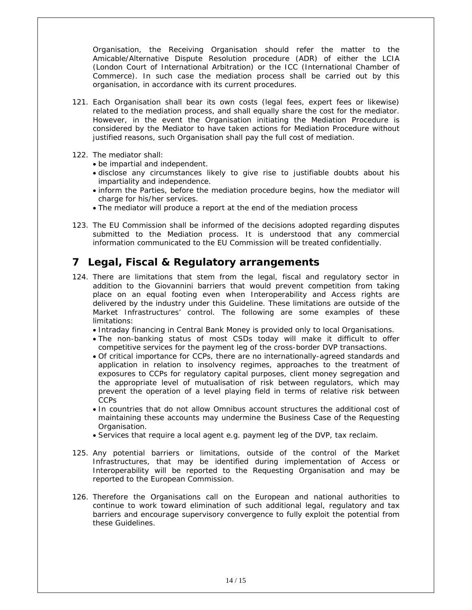Organisation, the Receiving Organisation should refer the matter to the Amicable/Alternative Dispute Resolution procedure (ADR) of either the LCIA (London Court of International Arbitration) or the ICC (International Chamber of Commerce). In such case the mediation process shall be carried out by this organisation, in accordance with its current procedures.

- 121. Each Organisation shall bear its own costs (legal fees, expert fees or likewise) related to the mediation process, and shall equally share the cost for the mediator. However, in the event the Organisation initiating the Mediation Procedure is considered by the Mediator to have taken actions for Mediation Procedure without justified reasons, such Organisation shall pay the full cost of mediation.
- 122. The mediator shall:
	- be impartial and independent.
	- disclose any circumstances likely to give rise to justifiable doubts about his impartiality and independence.
	- inform the Parties, before the mediation procedure begins, how the mediator will charge for his/her services.
	- The mediator will produce a report at the end of the mediation process
- 123. The EU Commission shall be informed of the decisions adopted regarding disputes submitted to the Mediation process. It is understood that any commercial information communicated to the EU Commission will be treated confidentially.

### **7 Legal, Fiscal & Regulatory arrangements**

- 124. There are limitations that stem from the legal, fiscal and regulatory sector in addition to the Giovannini barriers that would prevent competition from taking place on an equal footing even when Interoperability and Access rights are delivered by the industry under this Guideline. These limitations are outside of the Market Infrastructures' control. The following are some examples of these limitations:
	- Intraday financing in Central Bank Money is provided only to local Organisations.
	- The non-banking status of most CSDs today will make it difficult to offer competitive services for the payment leg of the cross-border DVP transactions.
	- Of critical importance for CCPs, there are no internationally-agreed standards and application in relation to insolvency regimes, approaches to the treatment of exposures to CCPs for regulatory capital purposes, client money segregation and the appropriate level of mutualisation of risk between regulators, which may prevent the operation of a level playing field in terms of relative risk between CCPs
	- In countries that do not allow Omnibus account structures the additional cost of maintaining these accounts may undermine the Business Case of the Requesting Organisation.
	- Services that require a local agent e.g. payment leg of the DVP, tax reclaim.
- 125. Any potential barriers or limitations, outside of the control of the Market Infrastructures, that may be identified during implementation of Access or Interoperability will be reported to the Requesting Organisation and may be reported to the European Commission.
- 126. Therefore the Organisations call on the European and national authorities to continue to work toward elimination of such additional legal, regulatory and tax barriers and encourage supervisory convergence to fully exploit the potential from these Guidelines.